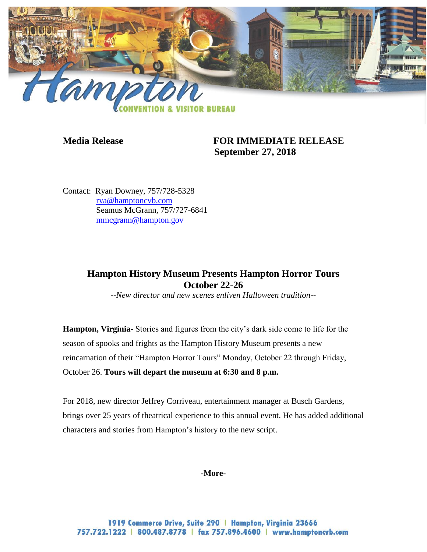

**Media Release FOR IMMEDIATE RELEASE September 27, 2018**

Contact: Ryan Downey, 757/728-5328 [rya@hamptoncvb.com](mailto:rya@hamptoncvb.com) Seamus McGrann, 757/727-6841 [mmcgrann@hampton.gov](mailto:mmcgrann@hampton.gov)

## **Hampton History Museum Presents Hampton Horror Tours October 22-26**

*--New director and new scenes enliven Halloween tradition--*

**Hampton, Virginia-** Stories and figures from the city's dark side come to life for the season of spooks and frights as the Hampton History Museum presents a new reincarnation of their "Hampton Horror Tours" Monday, October 22 through Friday, October 26. **Tours will depart the museum at 6:30 and 8 p.m.** 

For 2018, new director Jeffrey Corriveau, entertainment manager at Busch Gardens, brings over 25 years of theatrical experience to this annual event. He has added additional characters and stories from Hampton's history to the new script.

## **-More-**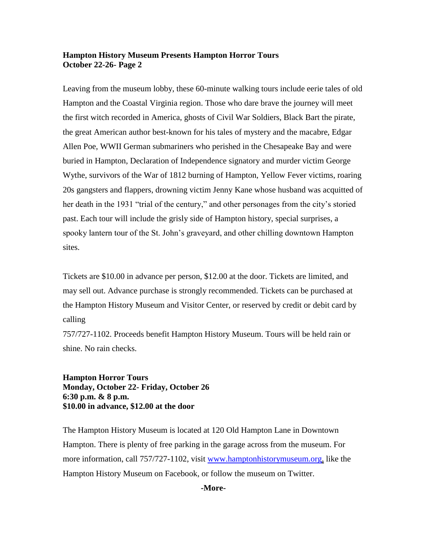## **Hampton History Museum Presents Hampton Horror Tours October 22-26- Page 2**

Leaving from the museum lobby, these 60-minute walking tours include eerie tales of old Hampton and the Coastal Virginia region. Those who dare brave the journey will meet the first witch recorded in America, ghosts of Civil War Soldiers, Black Bart the pirate, the great American author best-known for his tales of mystery and the macabre, Edgar Allen Poe, WWII German submariners who perished in the Chesapeake Bay and were buried in Hampton, Declaration of Independence signatory and murder victim George Wythe, survivors of the War of 1812 burning of Hampton, Yellow Fever victims, roaring 20s gangsters and flappers, drowning victim Jenny Kane whose husband was acquitted of her death in the 1931 "trial of the century," and other personages from the city's storied past. Each tour will include the grisly side of Hampton history, special surprises, a spooky lantern tour of the St. John's graveyard, and other chilling downtown Hampton sites.

Tickets are \$10.00 in advance per person, \$12.00 at the door. Tickets are limited, and may sell out. Advance purchase is strongly recommended. Tickets can be purchased at the Hampton History Museum and Visitor Center, or reserved by credit or debit card by calling

757/727-1102. Proceeds benefit Hampton History Museum. Tours will be held rain or shine. No rain checks.

**Hampton Horror Tours Monday, October 22- Friday, October 26 6:30 p.m. & 8 p.m. \$10.00 in advance, \$12.00 at the door**

The Hampton History Museum is located at 120 Old Hampton Lane in Downtown Hampton. There is plenty of free parking in the garage across from the museum. For more information, call 757/727-1102, visit [www.hamptonhistorymuseum.org,](http://www.hamptonhistorymuseum.org/) like the Hampton History Museum on Facebook, or follow the museum on Twitter.

**-More-**